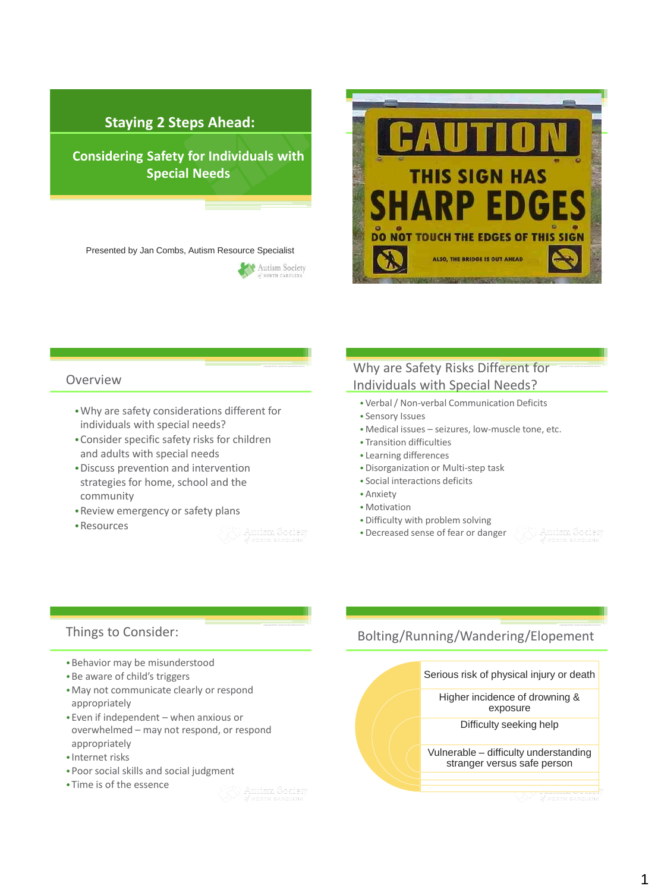# **Staying 2 Steps Ahead:**

**Considering Safety for Individuals with Special Needs**



NORTH CAROLE



## Overview

- •Why are safety considerations different for individuals with special needs?
- •Consider specific safety risks for children and adults with special needs
- •Discuss prevention and intervention strategies for home, school and the community
- •Review emergency or safety plans
- •Resources

# Why are Safety Risks Different for Individuals with Special Needs?

- Verbal / Non-verbal Communication Deficits
- Sensory Issues
- Medical issues seizures, low-muscle tone, etc.
- Transition difficulties
- Learning differences
- •Disorganization or Multi-step task
- Social interactions deficits
- Anxiety
- Motivation
- •Difficulty with problem solving
- •Decreased sense of fear or danger

## Things to Consider:

- •Behavior may be misunderstood
- •Be aware of child's triggers
- •May not communicate clearly or respond appropriately
- •Even if independent when anxious or overwhelmed – may not respond, or respond appropriately
- •Internet risks
- •Poor social skills and social judgment
- •Time is of the essence

# Bolting/Running/Wandering/Elopement

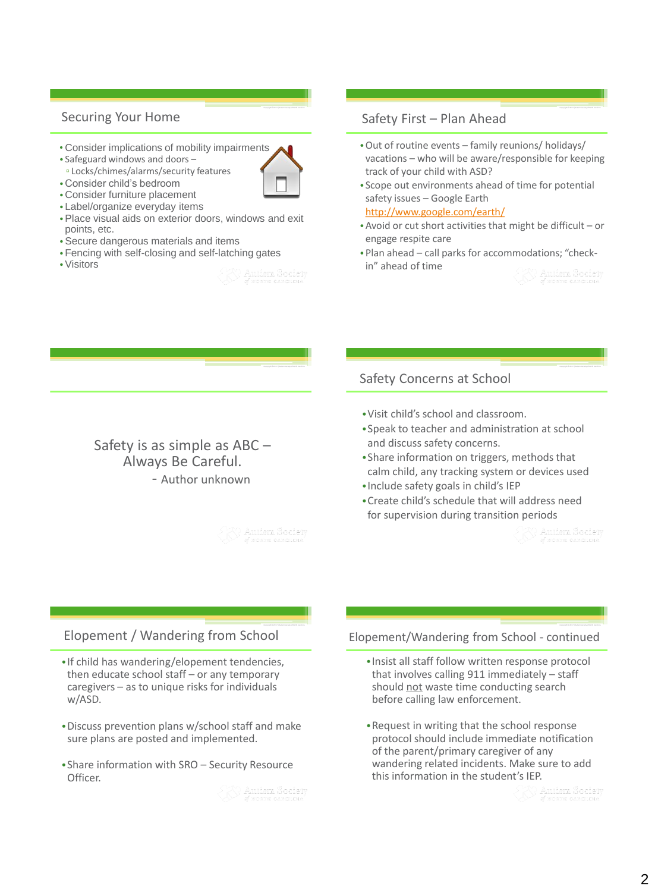# Securing Your Home

- Consider implications of mobility impairments
- Safeguard windows and doors ▫ Locks/chimes/alarms/security features



- Consider furniture placement
- Label/organize everyday items
- •Place visual aids on exterior doors, windows and exit points, etc.
- •Secure dangerous materials and items
- •Fencing with self-closing and self-latching gates
- •Visitors

# Safety First – Plan Ahead

- •Out of routine events family reunions/ holidays/ vacations – who will be aware/responsible for keeping track of your child with ASD?
- •Scope out environments ahead of time for potential safety issues – Google Earth

<http://www.google.com/earth/>

- •Avoid or cut short activities that might be difficult or engage respite care
- •Plan ahead call parks for accommodations; "checkin" ahead of time

Safety is as simple as ABC – Always Be Careful. - Author unknown

# Safety Concerns at School

- •Visit child's school and classroom.
- •Speak to teacher and administration at school and discuss safety concerns.
- •Share information on triggers, methods that calm child, any tracking system or devices used
- •Include safety goals in child's IEP
- •Create child's schedule that will address need for supervision during transition periods

## Elopement / Wandering from School

- •If child has wandering/elopement tendencies, then educate school staff – or any temporary caregivers – as to unique risks for individuals w/ASD.
- •Discuss prevention plans w/school staff and make sure plans are posted and implemented.
- •Share information with SRO Security Resource Officer.

## Elopement/Wandering from School - continued

- •Insist all staff follow written response protocol that involves calling 911 immediately – staff should not waste time conducting search before calling law enforcement.
- •Request in writing that the school response protocol should include immediate notification of the parent/primary caregiver of any wandering related incidents. Make sure to add this information in the student's IEP.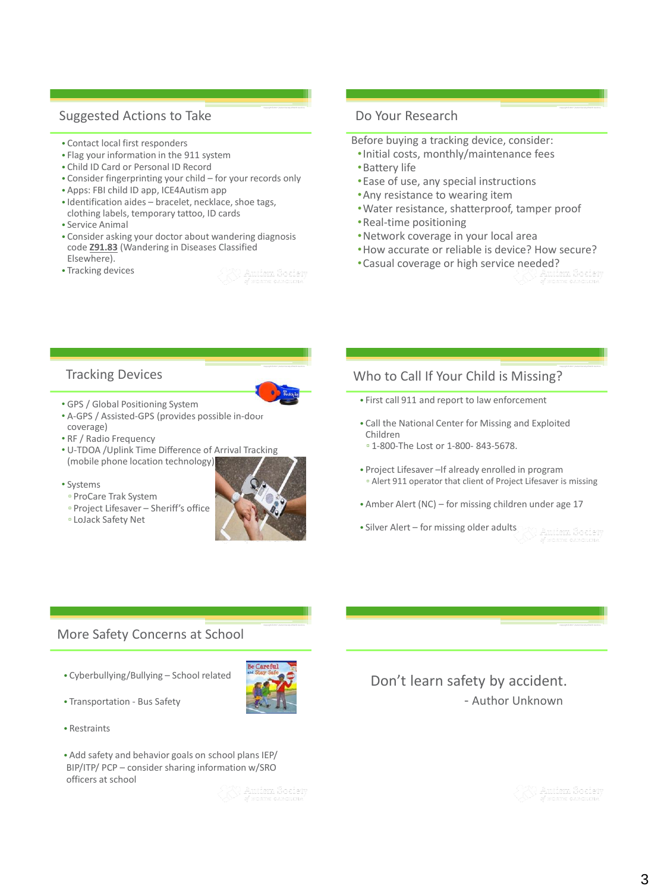# Suggested Actions to Take

- Contact local first responders
- Flag your information in the 911 system
- Child ID Card or Personal ID Record
- Consider fingerprinting your child for your records only
- Apps: FBI child ID app, ICE4Autism app
- •Identification aides bracelet, necklace, shoe tags, clothing labels, temporary tattoo, ID cards
- Service Animal
- Consider asking your doctor about wandering diagnosis code **Z91.83** (Wandering in Diseases Classified Elsewhere).
- Tracking devices

## Do Your Research

Before buying a tracking device, consider:

- •Initial costs, monthly/maintenance fees
- •Battery life
- •Ease of use, any special instructions
- •Any resistance to wearing item
- •Water resistance, shatterproof, tamper proof
- •Real-time positioning
- •Network coverage in your local area
- •How accurate or reliable is device? How secure?
- •Casual coverage or high service needed?

## Tracking Devices



- GPS / Global Positioning System
- A-GPS / Assisted-GPS (provides possible in-door coverage)
- RF / Radio Frequency
- U-TDOA /Uplink Time Difference of Arrival Tracking (mobile phone location technology)
- Systems
- ProCare Trak System
- Project Lifesaver Sheriff's office
- LoJack Safety Net



## Who to Call If Your Child is Missing?

- First call 911 and report to law enforcement
- Call the National Center for Missing and Exploited Children
- 1-800-The Lost or 1-800- 843-5678.
- Project Lifesaver –If already enrolled in program ▫ Alert 911 operator that client of Project Lifesaver is missing
- Amber Alert (NC) for missing children under age 17
- Silver Alert for missing older adults

## More Safety Concerns at School

- Cyberbullying/Bullying School related
- Transportation Bus Safety
- Restraints
- Add safety and behavior goals on school plans IEP/ BIP/ITP/ PCP – consider sharing information w/SRO officers at school

Don't learn safety by accident. - Author Unknown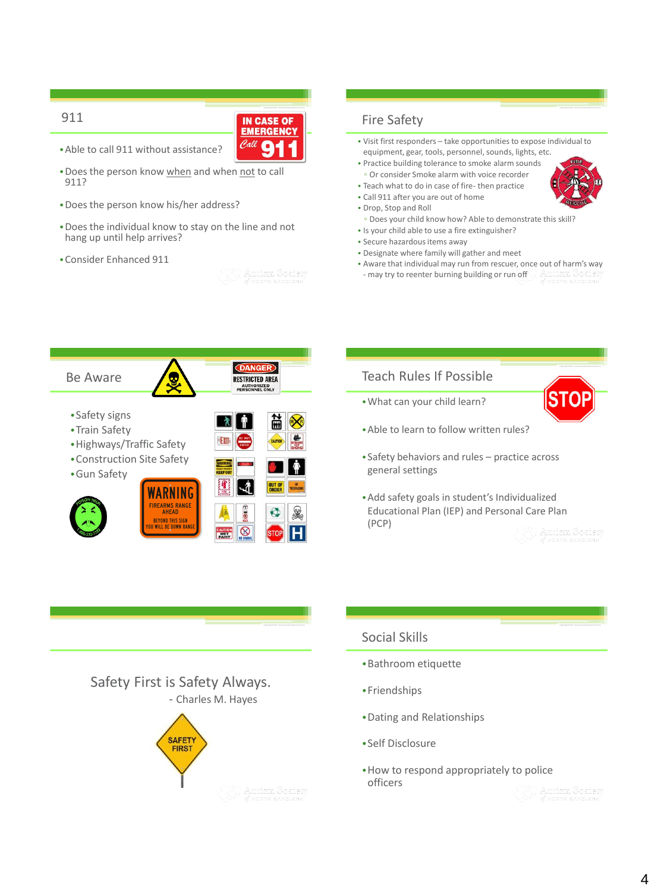## 911



- •Able to call 911 without assistance?
- •Does the person know when and when not to call 911?
- •Does the person know his/her address?
- •Does the individual know to stay on the line and not hang up until help arrives?
- •Consider Enhanced 911

# Fire Safety

- Visit first responders take opportunities to expose individual to equipment, gear, tools, personnel, sounds, lights, etc.
- Practice building tolerance to smoke alarm sounds ▫ Or consider Smoke alarm with voice recorder
- Teach what to do in case of fire- then practice
- Call 911 after you are out of home • Drop, Stop and Roll
- Does your child know how? Able to demonstrate this skill?
- Is your child able to use a fire extinguisher?
- Secure hazardous items away
- Designate where family will gather and meet
- Aware that individual may run from rescuer, once out of harm's way - may try to reenter burning building or run off



## Teach Rules If Possible

•What can your child learn?



- •Able to learn to follow written rules?
- •Safety behaviors and rules practice across general settings
- •Add safety goals in student's Individualized Educational Plan (IEP) and Personal Care Plan (PCP)



## Social Skills

- •Bathroom etiquette
- •Friendships
- •Dating and Relationships
- •Self Disclosure
- •How to respond appropriately to police officers

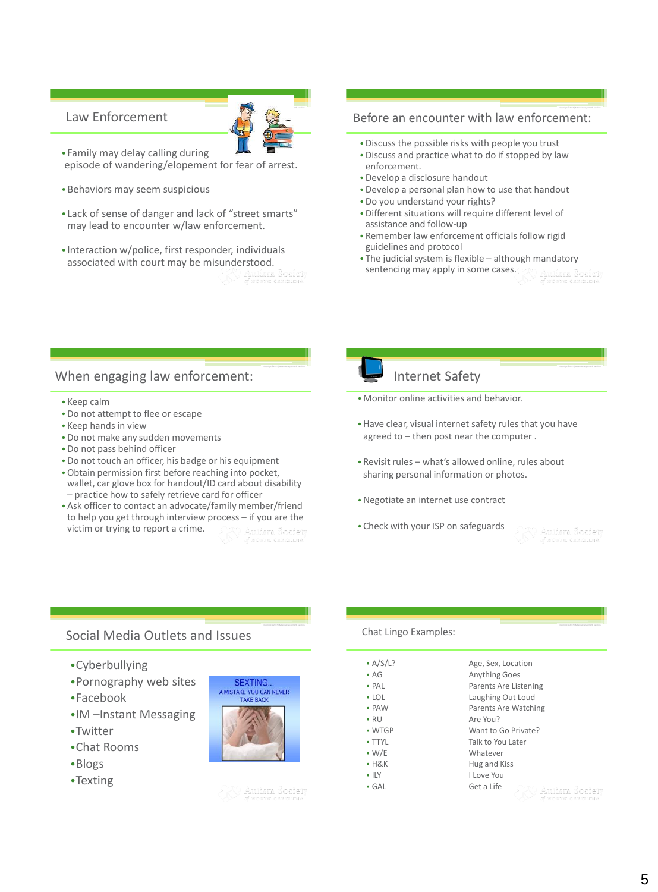## Law Enforcement



#### •Family may delay calling during episode of wandering/elopement for fear of arrest.

- •Behaviors may seem suspicious
- •Lack of sense of danger and lack of "street smarts" may lead to encounter w/law enforcement.
- •Interaction w/police, first responder, individuals associated with court may be misunderstood.

## Before an encounter with law enforcement:

- •Discuss the possible risks with people you trust
- •Discuss and practice what to do if stopped by law enforcement.
- •Develop a disclosure handout
- •Develop a personal plan how to use that handout
- •Do you understand your rights?
- •Different situations will require different level of assistance and follow-up
- Remember law enforcement officials follow rigid guidelines and protocol
- The judicial system is flexible although mandatory sentencing may apply in some cases.

## When engaging law enforcement:

- Keep calm
- •Do not attempt to flee or escape
- Keep hands in view
- •Do not make any sudden movements
- •Do not pass behind officer
- •Do not touch an officer, his badge or his equipment
- •Obtain permission first before reaching into pocket, wallet, car glove box for handout/ID card about disability – practice how to safely retrieve card for officer
- Ask officer to contact an advocate/family member/friend to help you get through interview process – if you are the victim or trying to report a crime.

# Internet Safety

- Monitor online activities and behavior.
- •Have clear, visual internet safety rules that you have agreed to – then post near the computer .
- Revisit rules what's allowed online, rules about sharing personal information or photos.
- •Negotiate an internet use contract
- Check with your ISP on safeguards

## Social Media Outlets and Issues

- •Cyberbullying
- •Pornography web sites
- •Facebook
- •IM –Instant Messaging
- •Twitter
- •Chat Rooms
- •Blogs
- •Texting





### Chat Lingo Examples:

| $\cdot$ A/S/L? | Age, Sex, Location                  |
|----------------|-------------------------------------|
| $\bullet$ AG   | <b>Anything Goes</b>                |
| $\cdot$ PAL    | Parents Are Listening               |
| $-LOL$         | Laughing Out Loud                   |
| $\cdot$ PAW    | Parents Are Watching                |
| $\cdot$ RU     | Are You?                            |
| $\bullet$ WTGP | Want to Go Private?                 |
| $\bullet$ TTYI | Talk to You Later                   |
| $\cdot$ W/E    | Whatever                            |
| $-H&K$         | Hug and Kiss                        |
| $\cdot$ ILY    | I Love You                          |
| • GAL          | Get a Life<br><b>SAY)</b> Americans |
|                |                                     |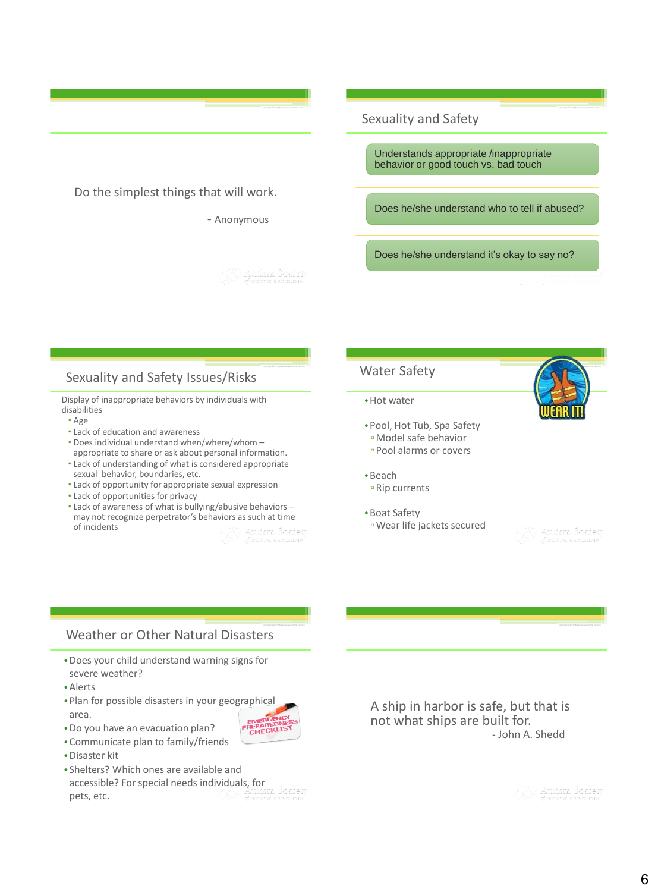

# Sexuality and Safety Issues/Risks

Display of inappropriate behaviors by individuals with disabilities

- Age
- Lack of education and awareness
- Does individual understand when/where/whom appropriate to share or ask about personal information.
- Lack of understanding of what is considered appropriate sexual behavior, boundaries, etc.
- Lack of opportunity for appropriate sexual expression
- Lack of opportunities for privacy
- Lack of awareness of what is bullying/abusive behaviors may not recognize perpetrator's behaviors as such at time of incidents

## Water Safety

### •Hot water

- •Pool, Hot Tub, Spa Safety ▫Model safe behavior ▫ Pool alarms or covers
- •Beach ▫ Rip currents
- •Boat Safety ▫Wear life jackets secured

## Weather or Other Natural Disasters

- •Does your child understand warning signs for severe weather?
- •Alerts
- •Plan for possible disasters in your geographical area.

**CHECKLIS** 

- •Do you have an evacuation plan?
- •Communicate plan to family/friends •Disaster kit
- •Shelters? Which ones are available and accessible? For special needs individuals, for pets, etc.

A ship in harbor is safe, but that is not what ships are built for. - John A. Shedd

Copyright Copyright Carolina Carolina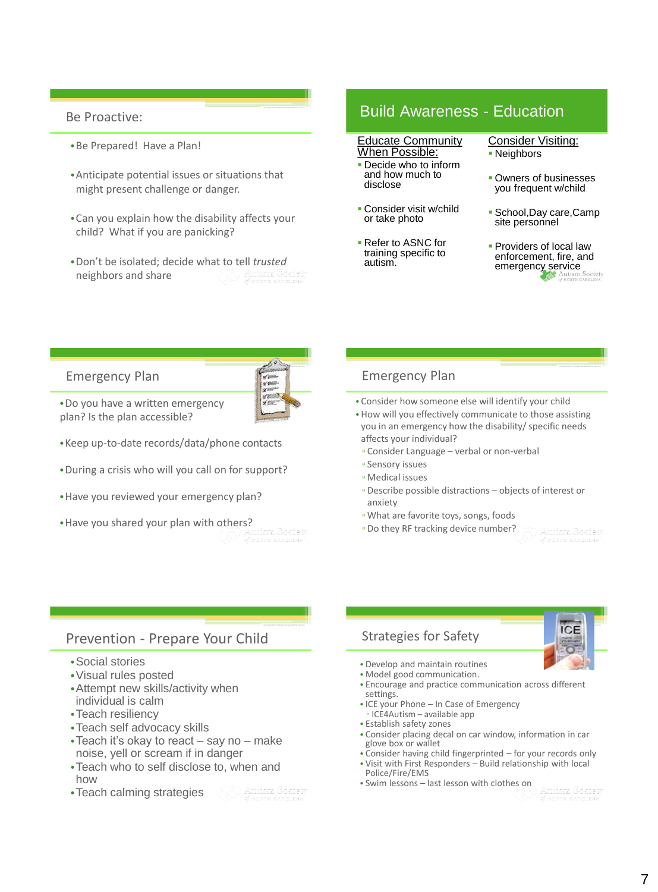- •Be Prepared! Have a Plan!
- •Anticipate potential issues or situations that might present challenge or danger.
- •Can you explain how the disability affects your child? What if you are panicking?
- •Don't be isolated; decide what to tell *trusted* neighbors and share

# Be Proactive: **Build Awareness - Education**

#### Educate Community When Possible:

- Decide who to inform and how much to disclose
- Consider visit w/child or take photo
- **Refer to ASNC for** training specific to autism.

### Consider Visiting:

- Neighbors
- Owners of businesses you frequent w/child
- School,Day care,Camp site personnel
- **Providers of local law** enforcement, fire, and emergency service

## Emergency Plan



•Do you have a written emergency plan? Is the plan accessible?

- •Keep up-to-date records/data/phone contacts
- •During a crisis who will you call on for support?
- •Have you reviewed your emergency plan?
- •Have you shared your plan with others?

# Emergency Plan

- Consider how someone else will identify your child
- •How will you effectively communicate to those assisting you in an emergency how the disability/ specific needs affects your individual?
	- Consider Language verbal or non-verbal
	- Sensory issues
	- Medical issues
	- Describe possible distractions objects of interest or anxiety
	- What are favorite toys, songs, foods
	- Do they RF tracking device number?

# Prevention - Prepare Your Child

- •Social stories
- •Visual rules posted
- •Attempt new skills/activity when individual is calm
- •Teach resiliency
- •Teach self advocacy skills
- •Teach it's okay to react say no make noise, yell or scream if in danger
- •Teach who to self disclose to, when and how
- •Teach calming strategies

# Strategies for Safety



- Develop and maintain routines
- Model good communication.
- Encourage and practice communication across different settings.
- •ICE your Phone In Case of Emergency ▫ ICE4Autism – available app
- Establish safety zones
- Consider placing decal on car window, information in car glove box or wallet
- Consider having child fingerprinted for your records only • Visit with First Responders – Build relationship with local Police/Fire/EMS
- Swim lessons last lesson with clothes on